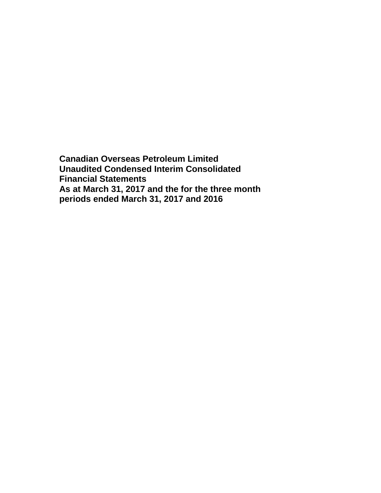**Canadian Overseas Petroleum Limited Unaudited Condensed Interim Consolidated Financial Statements As at March 31, 2017 and the for the three month periods ended March 31, 2017 and 2016**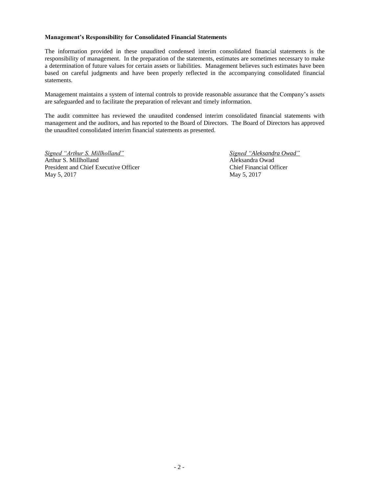#### **Management's Responsibility for Consolidated Financial Statements**

The information provided in these unaudited condensed interim consolidated financial statements is the responsibility of management. In the preparation of the statements, estimates are sometimes necessary to make a determination of future values for certain assets or liabilities. Management believes such estimates have been based on careful judgments and have been properly reflected in the accompanying consolidated financial statements.

Management maintains a system of internal controls to provide reasonable assurance that the Company's assets are safeguarded and to facilitate the preparation of relevant and timely information.

The audit committee has reviewed the unaudited condensed interim consolidated financial statements with management and the auditors, and has reported to the Board of Directors. The Board of Directors has approved the unaudited consolidated interim financial statements as presented.

*Signed "Arthur S. Millholland" Signed "Aleksandra Owad"* Arthur S. Millholland Aleksandra Owad President and Chief Executive Officer Chief Financial Officer May 5, 2017 May 5, 2017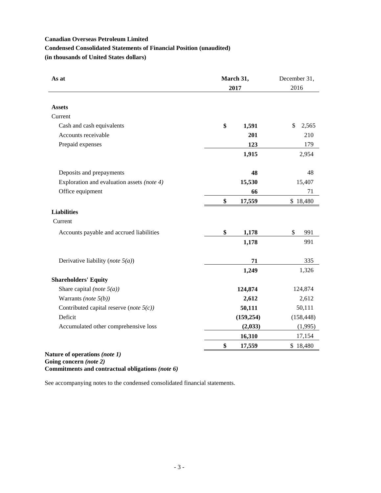# **Canadian Overseas Petroleum Limited Condensed Consolidated Statements of Financial Position (unaudited) (in thousands of United States dollars)**

| As at                                                           | March 31,<br>2017 | December 31,<br>2016  |
|-----------------------------------------------------------------|-------------------|-----------------------|
|                                                                 |                   |                       |
| <b>Assets</b>                                                   |                   |                       |
| Current                                                         |                   |                       |
| Cash and cash equivalents                                       | \$<br>1,591       | $\mathbb{S}$<br>2,565 |
| Accounts receivable                                             | 201               | 210                   |
| Prepaid expenses                                                | 123               | 179                   |
|                                                                 | 1,915             | 2,954                 |
| Deposits and prepayments                                        | 48                | 48                    |
| Exploration and evaluation assets (note 4)                      | 15,530            | 15,407                |
| Office equipment                                                | 66                | 71                    |
|                                                                 | \$<br>17,559      | \$18,480              |
| <b>Liabilities</b>                                              |                   |                       |
| Current                                                         |                   |                       |
| Accounts payable and accrued liabilities                        | \$<br>1,178       | \$<br>991             |
|                                                                 | 1,178             | 991                   |
| Derivative liability (note $5(a)$ )                             | 71                | 335                   |
|                                                                 | 1,249             | 1,326                 |
| <b>Shareholders' Equity</b>                                     |                   |                       |
| Share capital (note $5(a)$ )                                    | 124,874           | 124,874               |
| Warrants (note $5(b)$ )                                         | 2,612             | 2,612                 |
| Contributed capital reserve (note $5(c)$ )                      | 50,111            | 50,111                |
| Deficit                                                         | (159, 254)        | (158, 448)            |
| Accumulated other comprehensive loss                            | (2,033)           | (1,995)               |
|                                                                 | 16,310            | 17,154                |
|                                                                 | \$<br>17,559      | \$18,480              |
| $\mathbf{L}_{\text{max}}$ of an energy expected to $\mathbf{L}$ |                   |                       |

#### **Nature of operations** *(note 1)* **Going concern** *(note 2)* **Commitments and contractual obligations** *(note 6)*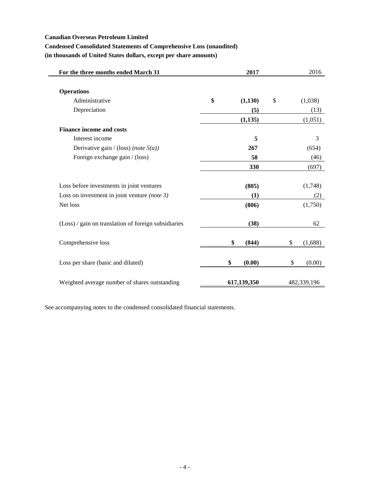### **Canadian Overseas Petroleum Limited**

# **Condensed Consolidated Statements of Comprehensive Loss (unaudited)**

**(in thousands of United States dollars, except per share amounts)**

| For the three months ended March 31                  | 2017          | 2016          |
|------------------------------------------------------|---------------|---------------|
|                                                      |               |               |
| <b>Operations</b>                                    |               |               |
| Administrative                                       | \$<br>(1,130) | \$<br>(1,038) |
| Depreciation                                         | (5)           | (13)          |
|                                                      | (1, 135)      | (1,051)       |
| <b>Finance income and costs</b>                      |               |               |
| Interest income                                      | 5             | 3             |
| Derivative gain / (loss) (note $5(a)$ )              | 267           | (654)         |
| Foreign exchange gain / (loss)                       | 58            | (46)          |
|                                                      | 330           | (697)         |
|                                                      |               |               |
| Loss before investments in joint ventures            | (805)         | (1,748)       |
| Loss on investment in joint venture (note $3$ )      | (1)           | (2)           |
| Net loss                                             | (806)         | (1,750)       |
|                                                      |               |               |
| (Loss) / gain on translation of foreign subsidiaries | (38)          | 62            |
|                                                      |               |               |
| Comprehensive loss                                   | \$<br>(844)   | \$<br>(1,688) |
|                                                      |               |               |
| Loss per share (basic and diluted)                   | \$<br>(0.00)  | \$<br>(0.00)  |
|                                                      |               |               |
| Weighted average number of shares outstanding        | 617,139,350   | 482,339,196   |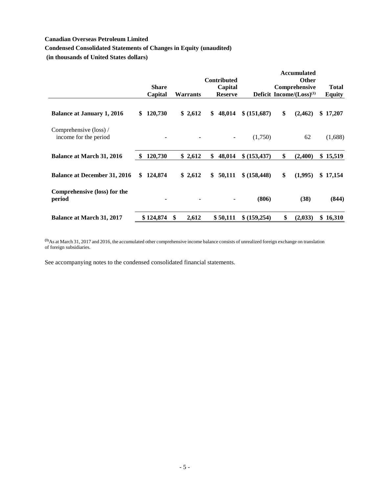# **Canadian Overseas Petroleum Limited**

# **Condensed Consolidated Statements of Changes in Equity (unaudited)**

**(in thousands of United States dollars)**

|                                                 |      |              |               |                 |                               |               |     | <b>Accumulated</b>             |               |
|-------------------------------------------------|------|--------------|---------------|-----------------|-------------------------------|---------------|-----|--------------------------------|---------------|
|                                                 |      | <b>Share</b> |               |                 | <b>Contributed</b><br>Capital |               |     | <b>Other</b><br>Comprehensive  | <b>Total</b>  |
|                                                 |      | Capital      |               | <b>Warrants</b> | <b>Reserve</b>                |               |     | Deficit Income/ $(Loss)^{(1)}$ | <b>Equity</b> |
| <b>Balance at January 1, 2016</b>               | S    | 120,730      |               | \$2,612         | \$<br>48,014                  | \$ (151,687)  | \$  | (2, 462)                       | \$17,207      |
| Comprehensive (loss) /<br>income for the period |      | ٠            |               |                 |                               | (1,750)       |     | 62                             | (1,688)       |
| <b>Balance at March 31, 2016</b>                | - \$ | 120,730      |               | \$2,612         | \$<br>48,014                  | \$ (153, 437) | \$  | (2,400)                        | \$15,519      |
| <b>Balance at December 31, 2016</b>             | \$   | 124,874      |               | \$2,612         | \$<br>50,111                  | \$ (158, 448) | \$  | (1,995)                        | \$17,154      |
| Comprehensive (loss) for the<br>period          |      | ٠            |               |                 |                               | (806)         |     | (38)                           | (844)         |
| <b>Balance at March 31, 2017</b>                |      | \$124,874    | <sup>\$</sup> | 2,612           | \$50,111                      | \$ (159,254)  | \$. | (2,033)                        | \$<br>16,310  |

**(1)**As at March 31, 2017 and 2016, the accumulated other comprehensive income balance consists of unrealized foreign exchange on translation of foreign subsidiaries.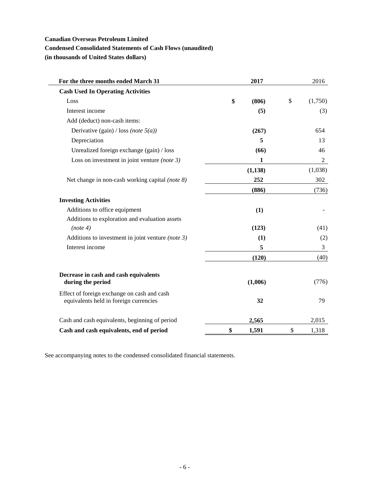# **Canadian Overseas Petroleum Limited**

# **Condensed Consolidated Statements of Cash Flows (unaudited)**

**(in thousands of United States dollars)**

| For the three months ended March 31                                                   | 2017        | 2016          |
|---------------------------------------------------------------------------------------|-------------|---------------|
| <b>Cash Used In Operating Activities</b>                                              |             |               |
| Loss                                                                                  | \$<br>(806) | \$<br>(1,750) |
| Interest income                                                                       | (5)         | (3)           |
| Add (deduct) non-cash items:                                                          |             |               |
| Derivative (gain) / loss (note $5(a)$ )                                               | (267)       | 654           |
| Depreciation                                                                          | 5           | 13            |
| Unrealized foreign exchange (gain) / loss                                             | (66)        | 46            |
| Loss on investment in joint venture (note $3$ )                                       | 1           | 2             |
|                                                                                       | (1, 138)    | (1,038)       |
| Net change in non-cash working capital (note 8)                                       | 252         | 302           |
|                                                                                       | (886)       | (736)         |
| <b>Investing Activities</b>                                                           |             |               |
| Additions to office equipment                                                         | (1)         |               |
| Additions to exploration and evaluation assets                                        |             |               |
| (note 4)                                                                              | (123)       | (41)          |
| Additions to investment in joint venture (note $3$ )                                  | (1)         | (2)           |
| Interest income                                                                       | 5           | 3             |
|                                                                                       | (120)       | (40)          |
|                                                                                       |             |               |
| Decrease in cash and cash equivalents<br>during the period                            | (1,006)     | (776)         |
| Effect of foreign exchange on cash and cash<br>equivalents held in foreign currencies | 32          | 79            |
| Cash and cash equivalents, beginning of period                                        | 2,565       | 2,015         |
| Cash and cash equivalents, end of period                                              | \$<br>1,591 | \$<br>1,318   |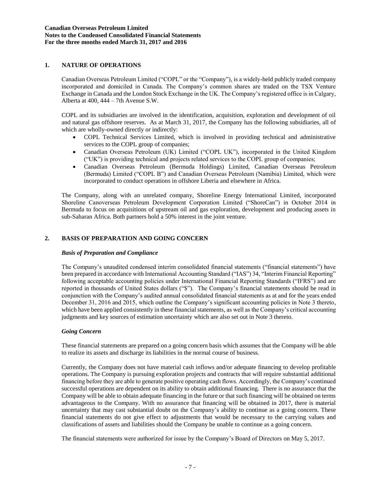# **1. NATURE OF OPERATIONS**

Canadian Overseas Petroleum Limited ("COPL" or the "Company"), is a widely-held publicly traded company incorporated and domiciled in Canada. The Company's common shares are traded on the TSX Venture Exchange in Canada and the London Stock Exchange in the UK. The Company's registered office is in Calgary, Alberta at 400, 444 – 7th Avenue S.W.

COPL and its subsidiaries are involved in the identification, acquisition, exploration and development of oil and natural gas offshore reserves. As at March 31, 2017, the Company has the following subsidiaries, all of which are wholly-owned directly or indirectly:

- COPL Technical Services Limited, which is involved in providing technical and administrative services to the COPL group of companies;
- Canadian Overseas Petroleum (UK) Limited ("COPL UK"), incorporated in the United Kingdom ("UK") is providing technical and projects related services to the COPL group of companies;
- Canadian Overseas Petroleum (Bermuda Holdings) Limited, Canadian Overseas Petroleum (Bermuda) Limited ("COPL B") and Canadian Overseas Petroleum (Namibia) Limited, which were incorporated to conduct operations in offshore Liberia and elsewhere in Africa.

The Company, along with an unrelated company, Shoreline Energy International Limited, incorporated Shoreline Canoverseas Petroleum Development Corporation Limited ("ShoreCan") in October 2014 in Bermuda to focus on acquisitions of upstream oil and gas exploration, development and producing assets in sub-Saharan Africa. Both partners hold a 50% interest in the joint venture.

### **2. BASIS OF PREPARATION AND GOING CONCERN**

#### *Basis of Preparation and Compliance*

The Company's unaudited condensed interim consolidated financial statements ("financial statements") have been prepared in accordance with International Accounting Standard ("IAS") 34, "Interim Financial Reporting" following acceptable accounting policies under International Financial Reporting Standards ("IFRS") and are reported in thousands of United States dollars ("\$"). The Company's financial statements should be read in conjunction with the Company's audited annual consolidated financial statements as at and for the years ended December 31, 2016 and 2015, which outline the Company's significant accounting policies in Note 3 thereto, which have been applied consistently in these financial statements, as well as the Company's critical accounting judgments and key sources of estimation uncertainty which are also set out in Note 3 thereto.

#### *Going Concern*

These financial statements are prepared on a going concern basis which assumes that the Company will be able to realize its assets and discharge its liabilities in the normal course of business.

Currently, the Company does not have material cash inflows and/or adequate financing to develop profitable operations. The Company is pursuing exploration projects and contracts that will require substantial additional financing before they are able to generate positive operating cash flows. Accordingly, the Company's continued successful operations are dependent on its ability to obtain additional financing. There is no assurance that the Company will be able to obtain adequate financing in the future or that such financing will be obtained on terms advantageous to the Company. With no assurance that financing will be obtained in 2017, there is material uncertainty that may cast substantial doubt on the Company's ability to continue as a going concern. These financial statements do not give effect to adjustments that would be necessary to the carrying values and classifications of assets and liabilities should the Company be unable to continue as a going concern.

The financial statements were authorized for issue by the Company's Board of Directors on May 5, 2017.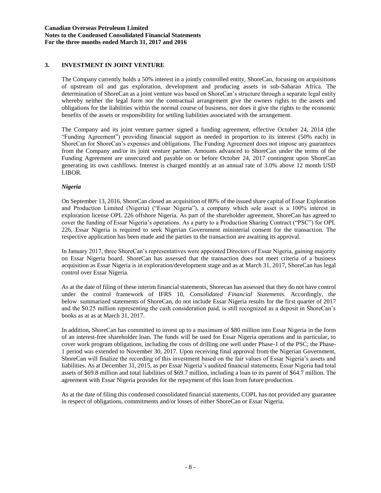# **3. INVESTMENT IN JOINT VENTURE**

The Company currently holds a 50% interest in a jointly controlled entity, ShoreCan, focusing on acquisitions of upstream oil and gas exploration, development and producing assets in sub-Saharan Africa. The determination of ShoreCan as a joint venture was based on ShoreCan's structure through a separate legal entity whereby neither the legal form nor the contractual arrangement give the owners rights to the assets and obligations for the liabilities within the normal course of business, nor does it give the rights to the economic benefits of the assets or responsibility for settling liabilities associated with the arrangement.

The Company and its joint venture partner signed a funding agreement, effective October 24, 2014 (the "Funding Agreement") providing financial support as needed in proportion to its interest (50% each) in ShoreCan for ShoreCan's expenses and obligations. The Funding Agreement does not impose any guarantees from the Company and/or its joint venture partner. Amounts advanced to ShoreCan under the terms of the Funding Agreement are unsecured and payable on or before October 24, 2017 contingent upon ShoreCan generating its own cashflows. Interest is charged monthly at an annual rate of 3.0% above 12 month USD LIBOR.

### *Nigeria*

On September 13, 2016, ShoreCan closed an acquisition of 80% of the issued share capital of Essar Exploration and Production Limited (Nigeria) ("Essar Nigeria"), a company which sole asset is a 100% interest in exploration license OPL 226 offshore Nigeria. As part of the shareholder agreement, ShoreCan has agreed to cover the funding of Essar Nigeria's operations. As a party to a Production Sharing Contract ("PSC") for OPL 226, Essar Nigeria is required to seek Nigerian Government ministerial consent for the transaction. The respective application has been made and the parties to the transaction are awaiting its approval.

In January 2017, three ShoreCan's representatives were appointed Directors of Essar Nigeria, gaining majority on Essar Nigeria board. ShoreCan has assessed that the transaction does not meet criteria of a business acquisition as Essar Nigeria is in exploration/development stage and as at March 31, 2017, ShoreCan has legal control over Essar Nigeria.

As at the date of filing of these interim financial statements, Shorecan has assessed that they do not have control under the control framework of IFRS 10, *Consolidated Financial Statements*. Accordingly, the below summarized statements of ShoreCan, do not include Essar Nigeria results for the first quarter of 2017 and the \$0.25 million representing the cash consideration paid, is still recognized as a deposit in ShoreCan's books as at as at March 31, 2017.

In addition, ShoreCan has committed to invest up to a maximum of \$80 million into Essar Nigeria in the form of an interest-free shareholder loan. The funds will be used for Essar Nigeria operations and in particular, to cover work program obligations, including the costs of drilling one well under Phase-1 of the PSC; the Phase-1 period was extended to November 30, 2017. Upon receiving final approval from the Nigerian Government, ShoreCan will finalize the recording of this investment based on the fair values of Essar Nigeria's assets and liabilities. As at December 31, 2015, as per Essar Nigeria's audited financial statements, Essar Nigeria had total assets of \$69.8 million and total liabilities of \$69.7 million, including a loan to its parent of \$64.7 million. The agreement with Essar Nigeria provides for the repayment of this loan from future production.

As at the date of filing this condensed consolidated financial statements, COPL has not provided any guarantee in respect of obligations, commitments and/or losses of either ShoreCan or Essar Nigeria.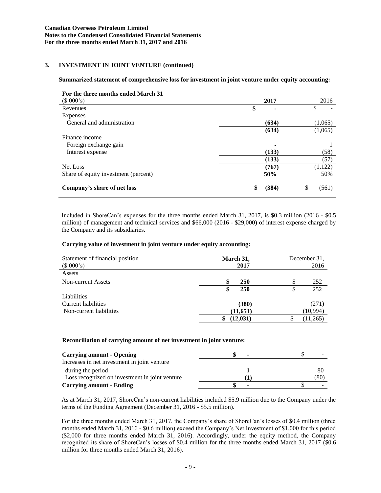### **3. INVESTMENT IN JOINT VENTURE (continued)**

### **Summarized statement of comprehensive loss for investment in joint venture under equity accounting:**

| For the three months ended March 31  |             |             |
|--------------------------------------|-------------|-------------|
| (\$000's)                            | 2017        | 2016        |
| Revenues                             | \$          | \$<br>۰     |
| Expenses                             |             |             |
| General and administration           | (634)       | (1,065)     |
|                                      | (634)       | (1,065)     |
| Finance income                       |             |             |
| Foreign exchange gain                | ۰           |             |
| Interest expense                     | (133)       | (58)        |
|                                      | (133)       | (57)        |
| Net Loss                             | (767)       | (1, 122)    |
| Share of equity investment (percent) | 50%         | 50%         |
| Company's share of net loss          | \$<br>(384) | \$<br>(561) |

Included in ShoreCan's expenses for the three months ended March 31, 2017, is \$0.3 million (2016 - \$0.5 million) of management and technical services and \$66,000 (2016 - \$29,000) of interest expense charged by the Company and its subsidiaries.

### **Carrying value of investment in joint venture under equity accounting:**

| Statement of financial position<br>(\$000's) | March 31,<br>2017 | December 31.<br>2016 |          |  |
|----------------------------------------------|-------------------|----------------------|----------|--|
| Assets                                       |                   |                      |          |  |
| Non-current Assets                           | S<br><b>250</b>   | \$                   | 252      |  |
|                                              | 250               |                      | 252      |  |
| Liabilities                                  |                   |                      |          |  |
| <b>Current liabilities</b>                   | (380)             |                      | (271)    |  |
| Non-current liabilities                      | (11, 651)         |                      | (10,994) |  |
|                                              | (12, 031)         |                      | (11,265) |  |

#### **Reconciliation of carrying amount of net investment in joint venture:**

| <b>Carrying amount - Opening</b>               |      |
|------------------------------------------------|------|
| Increases in net investment in joint venture   |      |
| during the period                              | 80   |
| Loss recognized on investment in joint venture | (80) |
| <b>Carrying amount - Ending</b>                |      |

As at March 31, 2017, ShoreCan's non-current liabilities included \$5.9 million due to the Company under the terms of the Funding Agreement (December 31, 2016 - \$5.5 million).

For the three months ended March 31, 2017, the Company's share of ShoreCan's losses of \$0.4 million (three months ended March 31, 2016 - \$0.6 million) exceed the Company's Net Investment of \$1,000 for this period (\$2,000 for three months ended March 31, 2016). Accordingly, under the equity method, the Company recognized its share of ShoreCan's losses of \$0.4 million for the three months ended March 31, 2017 (\$0.6 million for three months ended March 31, 2016).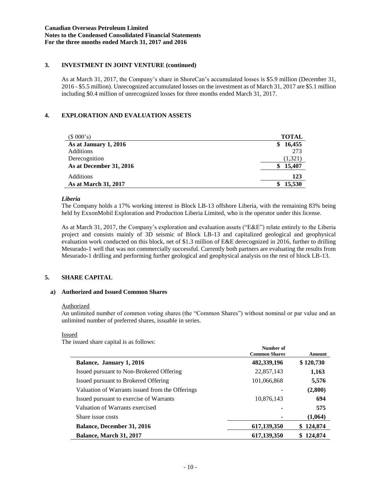# **3. INVESTMENT IN JOINT VENTURE (continued)**

As at March 31, 2017, the Company's share in ShoreCan's accumulated losses is \$5.9 million (December 31, 2016 - \$5.5 million). Unrecognized accumulated losses on the investment as of March 31, 2017 are \$5.1 million including \$0.4 million of unrecognized losses for three months ended March 31, 2017.

# **4. EXPLORATION AND EVALUATION ASSETS**

| (\$000's)               | <b>TOTAL</b> |
|-------------------------|--------------|
| As at January 1, 2016   | 16,455<br>S  |
| Additions               | 273          |
| Derecognition           | (1,321)      |
| As at December 31, 2016 | 15,407<br>S  |
| <b>Additions</b>        | 123          |
| As at March 31, 2017    | 15,530<br>S  |

### *Liberia*

The Company holds a 17% working interest in Block LB-13 offshore Liberia, with the remaining 83% being held by ExxonMobil Exploration and Production Liberia Limited, who is the operator under this license.

As at March 31, 2017, the Company's exploration and evaluation assets ("E&E") relate entirely to the Liberia project and consists mainly of 3D seismic of Block LB-13 and capitalized geological and geophysical evaluation work conducted on this block, net of \$1.3 million of E&E derecognized in 2016, further to drilling Mesurado-1 well that was not commercially successful. Currently both partners are evaluating the results from Mesurado-1 drilling and performing further geological and geophysical analysis on the rest of block LB-13.

# **5. SHARE CAPITAL**

### **a) Authorized and Issued Common Shares**

#### **Authorized**

An unlimited number of common voting shares (the "Common Shares") without nominal or par value and an unlimited number of preferred shares, issuable in series.

#### Issued

The issued share capital is as follows:

|                                                 | Number of<br><b>Common Shares</b> | Amount         |
|-------------------------------------------------|-----------------------------------|----------------|
| Balance, January 1, 2016                        | 482,339,196                       | \$120,730      |
| Issued pursuant to Non-Brokered Offering        | 22,857,143                        | 1,163          |
| Issued pursuant to Brokered Offering            | 101,066,868                       | 5,576          |
| Valuation of Warrants issued from the Offerings |                                   | (2,800)        |
| Issued pursuant to exercise of Warrants         | 10,876,143                        | 694            |
| Valuation of Warrants exercised                 | ۰                                 | 575            |
| Share issue costs                               |                                   | (1,064)        |
| <b>Balance, December 31, 2016</b>               | 617, 139, 350                     | 124,874<br>SS. |
| <b>Balance, March 31, 2017</b>                  | 617,139,350                       | 124,874        |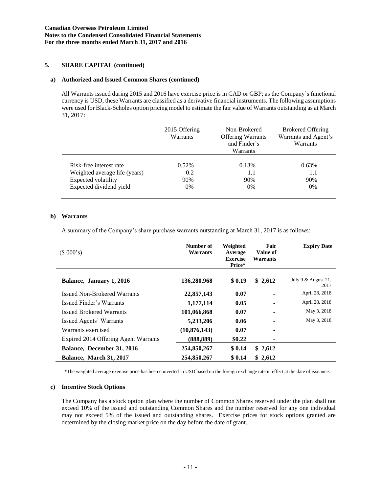# **5. SHARE CAPITAL (continued)**

### **a) Authorized and Issued Common Shares (continued)**

All Warrants issued during 2015 and 2016 have exercise price is in CAD or GBP; as the Company's functional currency is USD, these Warrants are classified as a derivative financial instruments. The following assumptions were used for Black-Scholes option pricing model to estimate the fair value of Warrants outstanding as at March 31, 2017:

|                               | 2015 Offering<br>Non-Brokered<br><b>Warrants</b><br><b>Offering Warrants</b><br>and Finder's<br>Warrants |       | <b>Brokered Offering</b><br>Warrants and Agent's<br>Warrants |
|-------------------------------|----------------------------------------------------------------------------------------------------------|-------|--------------------------------------------------------------|
| Risk-free interest rate       | $0.52\%$                                                                                                 | 0.13% | $0.63\%$                                                     |
| Weighted average life (years) | 0.2                                                                                                      | 1.1   | 1.1                                                          |
| Expected volatility           | 90%                                                                                                      | 90%   | 90%                                                          |
| Expected dividend yield       | $0\%$                                                                                                    | $0\%$ | $0\%$                                                        |

### **b) Warrants**

A summary of the Company's share purchase warrants outstanding at March 31, 2017 is as follows:

| (\$000's)                            | Number of<br>Warrants | Weighted<br>Average<br><b>Exercise</b><br>Price* | Fair<br>Value of<br>Warrants | <b>Expiry Date</b>          |
|--------------------------------------|-----------------------|--------------------------------------------------|------------------------------|-----------------------------|
| Balance, January 1, 2016             | 136,280,968           | \$0.19                                           | \$2,612                      | July 9 & August 21,<br>2017 |
| Issued Non-Brokered Warrants         | 22,857,143            | 0.07                                             |                              | April 28, 2018              |
| Issued Finder's Warrants             | 1,177,114             | 0.05                                             |                              | April 28, 2018              |
| <b>Issued Brokered Warrants</b>      | 101,066,868           | 0.07                                             |                              | May 3, 2018                 |
| Issued Agents' Warrants              | 5,233,206             | 0.06                                             |                              | May 3, 2018                 |
| Warrants exercised                   | (10, 876, 143)        | 0.07                                             | ٠                            |                             |
| Expired 2014 Offering Agent Warrants | (888, 889)            | \$0.22                                           |                              |                             |
| Balance, December 31, 2016           | 254,850,267           | \$0.14                                           | \$2,612                      |                             |
| Balance, March 31, 2017              | 254,850,267           | \$0.14                                           | \$2,612                      |                             |

\*The weighted average exercise price has been converted in USD based on the foreign exchange rate in effect at the date of issuance.

### **c) Incentive Stock Options**

The Company has a stock option plan where the number of Common Shares reserved under the plan shall not exceed 10% of the issued and outstanding Common Shares and the number reserved for any one individual may not exceed 5% of the issued and outstanding shares. Exercise prices for stock options granted are determined by the closing market price on the day before the date of grant.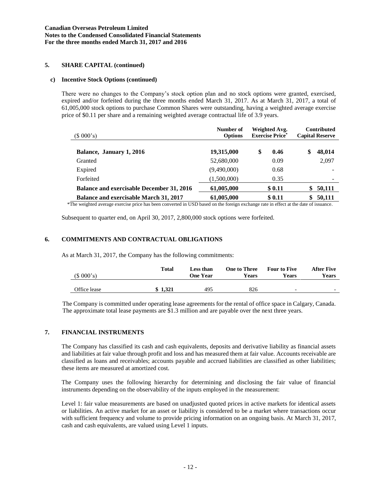# **5. SHARE CAPITAL (continued)**

#### **c) Incentive Stock Options (continued)**

There were no changes to the Company's stock option plan and no stock options were granted, exercised, expired and/or forfeited during the three months ended March 31, 2017. As at March 31, 2017, a total of 61,005,000 stock options to purchase Common Shares were outstanding, having a weighted average exercise price of \$0.11 per share and a remaining weighted average contractual life of 3.9 years.

| (\$000's)                                        | Number of<br><b>Options</b> | Weighted Avg.<br><b>Exercise Price*</b> | <b>Contributed</b><br><b>Capital Reserve</b> |
|--------------------------------------------------|-----------------------------|-----------------------------------------|----------------------------------------------|
| Balance, January 1, 2016                         | 19,315,000                  | \$<br>0.46                              | \$<br>48,014                                 |
| Granted                                          | 52,680,000                  | 0.09                                    | 2,097                                        |
| Expired                                          | (9,490,000)                 | 0.68                                    |                                              |
| Forfeited                                        | (1,500,000)                 | 0.35                                    |                                              |
| <b>Balance and exercisable December 31, 2016</b> | 61,005,000                  | \$0.11                                  | 50,111                                       |
| Balance and exercisable March 31, 2017<br>.      | 61,005,000                  | \$0.11                                  | 50,111                                       |

\*The weighted average exercise price has been converted in USD based on the foreign exchange rate in effect at the date of issuance.

Subsequent to quarter end, on April 30, 2017, 2,800,000 stock options were forfeited.

### **6. COMMITMENTS AND CONTRACTUAL OBLIGATIONS**

As at March 31, 2017, the Company has the following commitments:

| (\$000's)    | Total   | <b>Less than</b><br>One Year | <b>One to Three</b><br>Years | <b>Four to Five</b><br>Years | <b>After Five</b><br>Years |
|--------------|---------|------------------------------|------------------------------|------------------------------|----------------------------|
| Office lease | \$1.321 | 495                          | 826                          | $\overline{\phantom{0}}$     | $\overline{\phantom{0}}$   |

The Company is committed under operating lease agreements for the rental of office space in Calgary, Canada. The approximate total lease payments are \$1.3 million and are payable over the next three years.

### **7. FINANCIAL INSTRUMENTS**

The Company has classified its cash and cash equivalents, deposits and derivative liability as financial assets and liabilities at fair value through profit and loss and has measured them at fair value. Accounts receivable are classified as loans and receivables; accounts payable and accrued liabilities are classified as other liabilities; these items are measured at amortized cost.

The Company uses the following hierarchy for determining and disclosing the fair value of financial instruments depending on the observability of the inputs employed in the measurement:

Level 1: fair value measurements are based on unadjusted quoted prices in active markets for identical assets or liabilities. An active market for an asset or liability is considered to be a market where transactions occur with sufficient frequency and volume to provide pricing information on an ongoing basis. At March 31, 2017, cash and cash equivalents, are valued using Level 1 inputs.